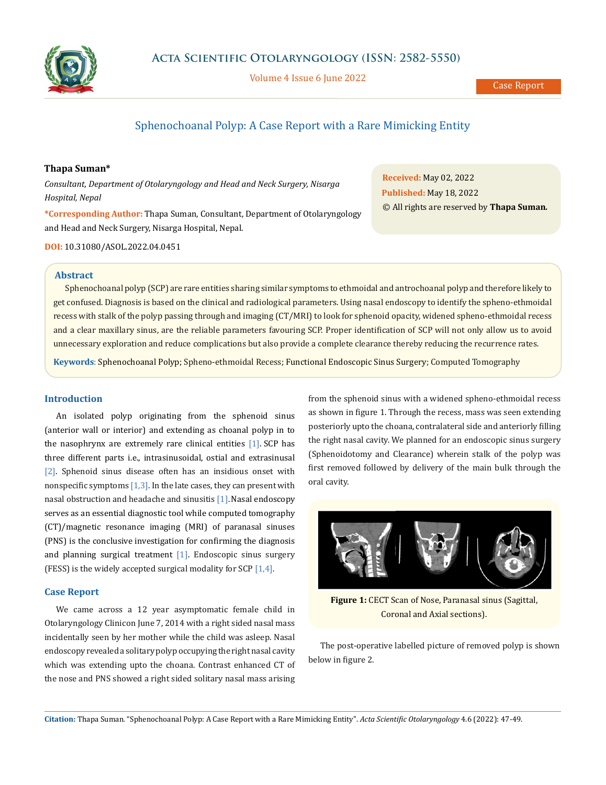

Volume 4 Issue 6 June 2022

# Sphenochoanal Polyp: A Case Report with a Rare Mimicking Entity

# **Thapa Suman\***

*Consultant, Department of Otolaryngology and Head and Neck Surgery, Nisarga Hospital, Nepal*

**\*Corresponding Author:** Thapa Suman, Consultant, Department of Otolaryngology and Head and Neck Surgery, Nisarga Hospital, Nepal.

**Received:** May 02, 2022 **Published:** May 18, 2022 © All rights are reserved by **Thapa Suman***.*

**DOI:** [10.31080/ASOL.2022.04.0451](http://actascientific.com/ASOL/pdf/ASOL-04-051.pdf)

#### **Abstract**

Sphenochoanal polyp (SCP) are rare entities sharing similar symptoms to ethmoidal and antrochoanal polyp and therefore likely to get confused. Diagnosis is based on the clinical and radiological parameters. Using nasal endoscopy to identify the spheno-ethmoidal recess with stalk of the polyp passing through and imaging (CT/MRI) to look for sphenoid opacity, widened spheno-ethmoidal recess and a clear maxillary sinus, are the reliable parameters favouring SCP. Proper identification of SCP will not only allow us to avoid unnecessary exploration and reduce complications but also provide a complete clearance thereby reducing the recurrence rates.

**Keywords**: Sphenochoanal Polyp; Spheno-ethmoidal Recess; Functional Endoscopic Sinus Surgery; Computed Tomography

# **Introduction**

An isolated polyp originating from the sphenoid sinus (anterior wall or interior) and extending as choanal polyp in to the nasophrynx are extremely rare clinical entities [1]. SCP has three different parts i.e., intrasinusoidal, ostial and extrasinusal [2]. Sphenoid sinus disease often has an insidious onset with nonspecific symptoms  $[1,3]$ . In the late cases, they can present with nasal obstruction and headache and sinusitis [1]. Nasal endoscopy serves as an essential diagnostic tool while computed tomography (CT)/magnetic resonance imaging (MRI) of paranasal sinuses (PNS) is the conclusive investigation for confirming the diagnosis and planning surgical treatment [1]. Endoscopic sinus surgery (FESS) is the widely accepted surgical modality for SCP [1,4].

## **Case Report**

We came across a 12 year asymptomatic female child in Otolaryngology Clinicon June 7, 2014 with a right sided nasal mass incidentally seen by her mother while the child was asleep. Nasal endoscopy revealed a solitary polyp occupying the right nasal cavity which was extending upto the choana. Contrast enhanced CT of the nose and PNS showed a right sided solitary nasal mass arising from the sphenoid sinus with a widened spheno-ethmoidal recess as shown in figure 1. Through the recess, mass was seen extending posteriorly upto the choana, contralateral side and anteriorly filling the right nasal cavity. We planned for an endoscopic sinus surgery (Sphenoidotomy and Clearance) wherein stalk of the polyp was first removed followed by delivery of the main bulk through the oral cavity.



**Figure 1:** CECT Scan of Nose, Paranasal sinus (Sagittal, Coronal and Axial sections).

The post-operative labelled picture of removed polyp is shown below in figure 2.

**Citation:** Thapa Suman*.* "Sphenochoanal Polyp: A Case Report with a Rare Mimicking Entity". *Acta Scientific Otolaryngology* 4.6 (2022): 47-49.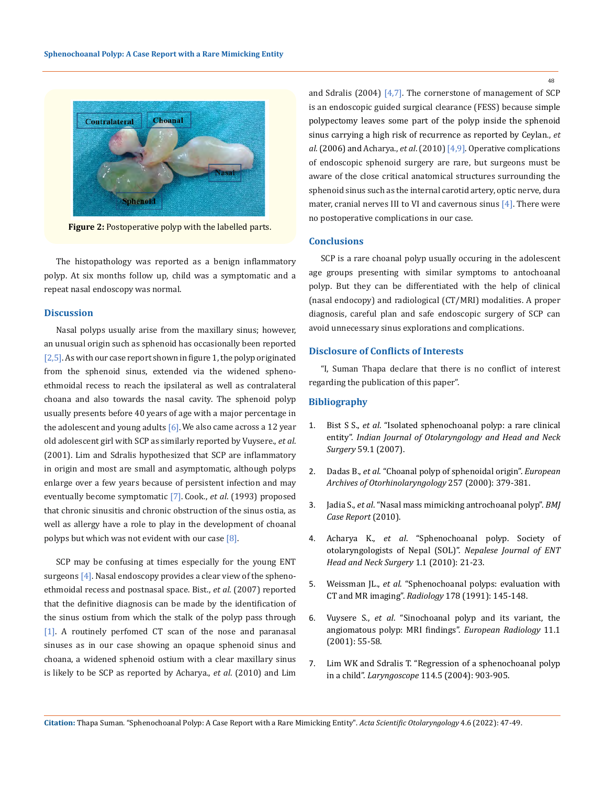

**Figure 2:** Postoperative polyp with the labelled parts.

The histopathology was reported as a benign inflammatory polyp. At six months follow up, child was a symptomatic and a repeat nasal endoscopy was normal.

#### **Discussion**

Nasal polyps usually arise from the maxillary sinus; however, an unusual origin such as sphenoid has occasionally been reported  $[2,5]$ . As with our case report shown in figure 1, the polyp originated from the sphenoid sinus, extended via the widened sphenoethmoidal recess to reach the ipsilateral as well as contralateral choana and also towards the nasal cavity. The sphenoid polyp usually presents before 40 years of age with a major percentage in the adolescent and young adults  $[6]$ . We also came across a 12 year old adolescent girl with SCP as similarly reported by Vuysere., *et al*. (2001). Lim and Sdralis hypothesized that SCP are inflammatory in origin and most are small and asymptomatic, although polyps enlarge over a few years because of persistent infection and may eventually become symptomatic [7]. Cook., *et al*. (1993) proposed that chronic sinusitis and chronic obstruction of the sinus ostia, as well as allergy have a role to play in the development of choanal polyps but which was not evident with our case  $[8]$ .

SCP may be confusing at times especially for the young ENT surgeons  $[4]$ . Nasal endoscopy provides a clear view of the sphenoethmoidal recess and postnasal space. Bist., *et al*. (2007) reported that the definitive diagnosis can be made by the identification of the sinus ostium from which the stalk of the polyp pass through [1]. A routinely perfomed CT scan of the nose and paranasal sinuses as in our case showing an opaque sphenoid sinus and choana, a widened sphenoid ostium with a clear maxillary sinus is likely to be SCP as reported by Acharya., *et al*. (2010) and Lim

and Sdralis (2004) [4,7]. The cornerstone of management of SCP is an endoscopic guided surgical clearance (FESS) because simple polypectomy leaves some part of the polyp inside the sphenoid sinus carrying a high risk of recurrence as reported by Ceylan., *et al*. (2006) and Acharya., *et al*. (2010) [4,9]. Operative complications of endoscopic sphenoid surgery are rare, but surgeons must be aware of the close critical anatomical structures surrounding the sphenoid sinus such as the internal carotid artery, optic nerve, dura mater, cranial nerves III to VI and cavernous sinus  $[4]$ . There were no postoperative complications in our case.

# **Conclusions**

SCP is a rare choanal polyp usually occuring in the adolescent age groups presenting with similar symptoms to antochoanal polyp. But they can be differentiated with the help of clinical (nasal endocopy) and radiological (CT/MRI) modalities. A proper diagnosis, careful plan and safe endoscopic surgery of SCP can avoid unnecessary sinus explorations and complications.

### **Disclosure of Conflicts of Interests**

"I, Suman Thapa declare that there is no conflict of interest regarding the publication of this paper".

## **Bibliography**

- 1. Bist S S., *et al*[. "Isolated sphenochoanal polyp: a rare clinical](https://pubmed.ncbi.nlm.nih.gov/23120388/)  entity". *[Indian Journal of Otolaryngology and Head and Neck](https://pubmed.ncbi.nlm.nih.gov/23120388/)  Surgery* [59.1 \(2007\).](https://pubmed.ncbi.nlm.nih.gov/23120388/)
- 2. Dadas B., *et al*[. "Choanal polyp of sphenoidal origin".](https://pubmed.ncbi.nlm.nih.gov/11052249/) *European [Archives of Otorhinolaryngology](https://pubmed.ncbi.nlm.nih.gov/11052249/)* 257 (2000): 379-381.
- 3. Jadia S., *et al*[. "Nasal mass mimicking antrochoanal polyp".](https://www.ncbi.nlm.nih.gov/pmc/articles/PMC3047578/) *BMJ [Case Report](https://www.ncbi.nlm.nih.gov/pmc/articles/PMC3047578/)* (2010).
- 4. Acharya K., *et al*. "Sphenochoanal polyp. Society of otolaryngologists of Nepal (SOL)". *Nepalese Journal of ENT Head and Neck Surgery* 1.1 (2010): 21-23.
- 5. Weissman JL., *et al*. "Sphenochoanal polyps: evaluation with CT and MR imaging". *Radiology* 178 (1991): 145-148.
- 6. Vuysere S., *et al*[. "Sinochoanal polyp and its variant, the](https://pubmed.ncbi.nlm.nih.gov/1984293/)  [angiomatous polyp: MRI findings".](https://pubmed.ncbi.nlm.nih.gov/1984293/) *European Radiology* 11.1 [\(2001\): 55-58.](https://pubmed.ncbi.nlm.nih.gov/1984293/)
- 7. [Lim WK and Sdralis T. "Regression of a sphenochoanal polyp](https://www.researchgate.net/publication/8578352_Regression_of_a_Sphenochoanal_Polyp_in_a_Child)  in a child". *Laryngoscope* [114.5 \(2004\): 903-905.](https://www.researchgate.net/publication/8578352_Regression_of_a_Sphenochoanal_Polyp_in_a_Child)

48